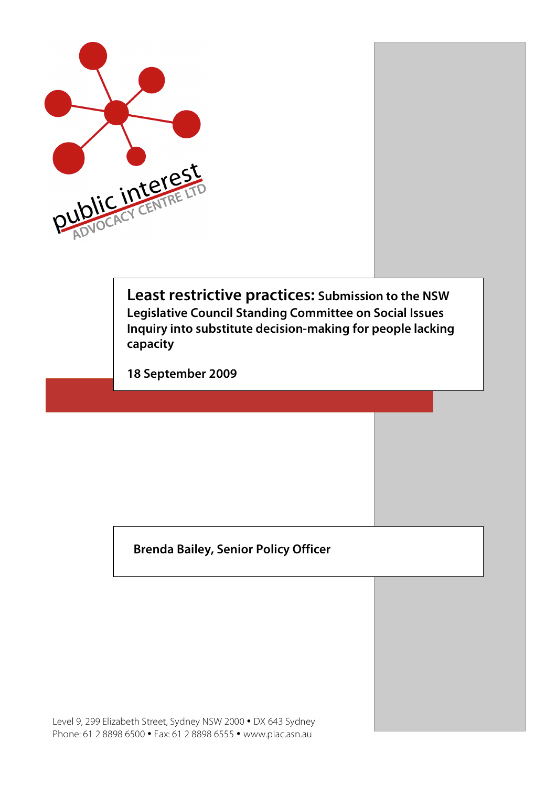

**Least restrictive practices: Submission to the NSW Legislative Council Standing Committee on Social Issues Inquiry into substitute decision-making for people lacking capacity**

**18 September 2009**

**Brenda Bailey, Senior Policy Officer**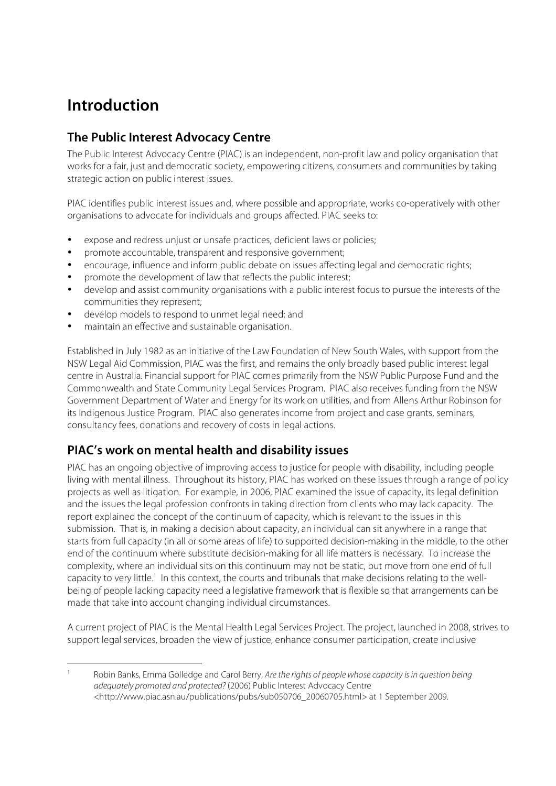# **Introduction**

## **The Public Interest Advocacy Centre**

The Public Interest Advocacy Centre (PIAC) is an independent, non-profit law and policy organisation that works for a fair, just and democratic society, empowering citizens, consumers and communities by taking strategic action on public interest issues.

PIAC identifies public interest issues and, where possible and appropriate, works co-operatively with other organisations to advocate for individuals and groups affected. PIAC seeks to:

- expose and redress unjust or unsafe practices, deficient laws or policies;
- promote accountable, transparent and responsive government;
- encourage, influence and inform public debate on issues affecting legal and democratic rights;
- promote the development of law that reflects the public interest;
- develop and assist community organisations with a public interest focus to pursue the interests of the communities they represent;
- develop models to respond to unmet legal need; and
- maintain an effective and sustainable organisation.

Established in July 1982 as an initiative of the Law Foundation of New South Wales, with support from the NSW Legal Aid Commission, PIAC was the first, and remains the only broadly based public interest legal centre in Australia. Financial support for PIAC comes primarily from the NSW Public Purpose Fund and the Commonwealth and State Community Legal Services Program. PIAC also receives funding from the NSW Government Department of Water and Energy for its work on utilities, and from Allens Arthur Robinson for its Indigenous Justice Program. PIAC also generates income from project and case grants, seminars, consultancy fees, donations and recovery of costs in legal actions.

## **PIAC's work on mental health and disability issues**

PIAC has an ongoing objective of improving access to justice for people with disability, including people living with mental illness. Throughout its history, PIAC has worked on these issues through a range of policy projects as well as litigation. For example, in 2006, PIAC examined the issue of capacity, its legal definition and the issues the legal profession confronts in taking direction from clients who may lack capacity. The report explained the concept of the continuum of capacity, which is relevant to the issues in this submission. That is, in making a decision about capacity, an individual can sit anywhere in a range that starts from full capacity (in all or some areas of life) to supported decision-making in the middle, to the other end of the continuum where substitute decision-making for all life matters is necessary. To increase the complexity, where an individual sits on this continuum may not be static, but move from one end of full capacity to very little.<sup>1</sup> In this context, the courts and tribunals that make decisions relating to the wellbeing of people lacking capacity need a legislative framework that is flexible so that arrangements can be made that take into account changing individual circumstances.

A current project of PIAC is the Mental Health Legal Services Project. The project, launched in 2008, strives to support legal services, broaden the view of justice, enhance consumer participation, create inclusive

Robin Banks, Emma Golledge and Carol Berry, Are the rights of people whose capacity is in question being adequately promoted and protected? (2006) Public Interest Advocacy Centre <http://www.piac.asn.au/publications/pubs/sub050706\_20060705.html> at 1 September 2009.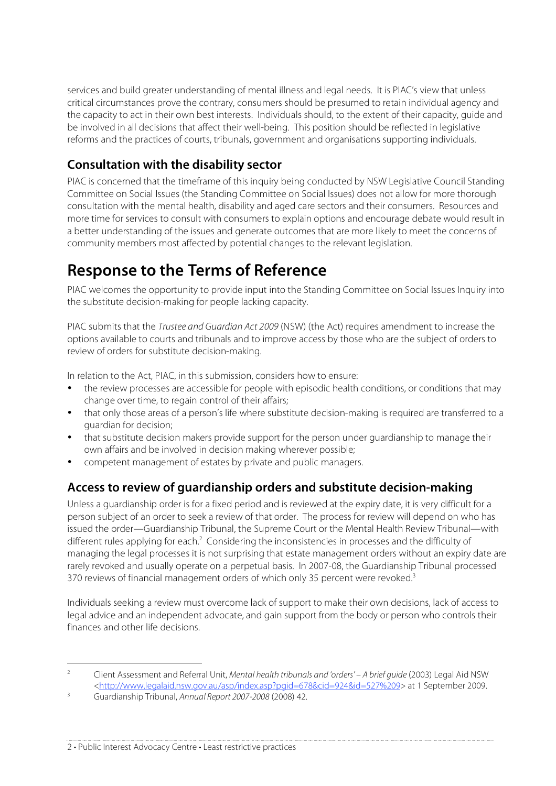services and build greater understanding of mental illness and legal needs. It is PIAC's view that unless critical circumstances prove the contrary, consumers should be presumed to retain individual agency and the capacity to act in their own best interests. Individuals should, to the extent of their capacity, guide and be involved in all decisions that affect their well-being. This position should be reflected in legislative reforms and the practices of courts, tribunals, government and organisations supporting individuals.

## **Consultation with the disability sector**

PIAC is concerned that the timeframe of this inquiry being conducted by NSW Legislative Council Standing Committee on Social Issues (the Standing Committee on Social Issues) does not allow for more thorough consultation with the mental health, disability and aged care sectors and their consumers. Resources and more time for services to consult with consumers to explain options and encourage debate would result in a better understanding of the issues and generate outcomes that are more likely to meet the concerns of community members most affected by potential changes to the relevant legislation.

# **Response to the Terms of Reference**

PIAC welcomes the opportunity to provide input into the Standing Committee on Social Issues Inquiry into the substitute decision-making for people lacking capacity.

PIAC submits that the Trustee and Guardian Act 2009 (NSW) (the Act) requires amendment to increase the options available to courts and tribunals and to improve access by those who are the subject of orders to review of orders for substitute decision-making.

In relation to the Act, PIAC, in this submission, considers how to ensure:

- the review processes are accessible for people with episodic health conditions, or conditions that may change over time, to regain control of their affairs;
- that only those areas of a person's life where substitute decision-making is required are transferred to a guardian for decision;
- that substitute decision makers provide support for the person under guardianship to manage their own affairs and be involved in decision making wherever possible;
- competent management of estates by private and public managers.

## **Access to review of guardianship orders and substitute decision-making**

Unless a guardianship order is for a fixed period and is reviewed at the expiry date, it is very difficult for a person subject of an order to seek a review of that order. The process for review will depend on who has issued the order—Guardianship Tribunal, the Supreme Court or the Mental Health Review Tribunal—with different rules applying for each.<sup>2</sup> Considering the inconsistencies in processes and the difficulty of managing the legal processes it is not surprising that estate management orders without an expiry date are rarely revoked and usually operate on a perpetual basis. In 2007-08, the Guardianship Tribunal processed 370 reviews of financial management orders of which only 35 percent were revoked.<sup>3</sup>

Individuals seeking a review must overcome lack of support to make their own decisions, lack of access to legal advice and an independent advocate, and gain support from the body or person who controls their finances and other life decisions.

2 • Public Interest Advocacy Centre • Least restrictive practices

<sup>&</sup>lt;sup>2</sup> Client Assessment and Referral Unit, Mental health tribunals and 'orders' – A brief guide (2003) Legal Aid NSW <http://www.legalaid.nsw.gov.au/asp/index.asp?pgid=678&cid=924&id=527%209> at 1 September 2009.

<sup>3</sup> Guardianship Tribunal, Annual Report 2007-2008 (2008) 42.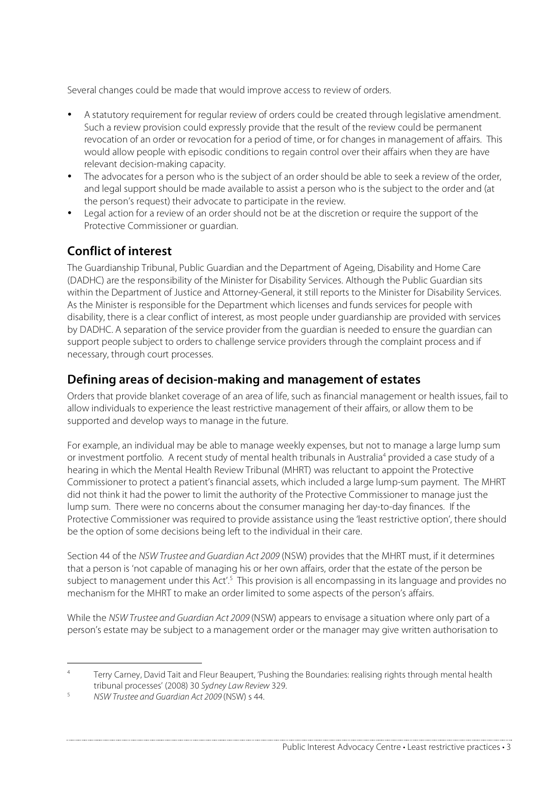Several changes could be made that would improve access to review of orders.

- A statutory requirement for regular review of orders could be created through legislative amendment. Such a review provision could expressly provide that the result of the review could be permanent revocation of an order or revocation for a period of time, or for changes in management of affairs. This would allow people with episodic conditions to regain control over their affairs when they are have relevant decision-making capacity.
- The advocates for a person who is the subject of an order should be able to seek a review of the order, and legal support should be made available to assist a person who is the subject to the order and (at the person's request) their advocate to participate in the review.
- Legal action for a review of an order should not be at the discretion or require the support of the Protective Commissioner or guardian.

## **Conflict of interest**

The Guardianship Tribunal, Public Guardian and the Department of Ageing, Disability and Home Care (DADHC) are the responsibility of the Minister for Disability Services. Although the Public Guardian sits within the Department of Justice and Attorney-General, it still reports to the Minister for Disability Services. As the Minister is responsible for the Department which licenses and funds services for people with disability, there is a clear conflict of interest, as most people under guardianship are provided with services by DADHC. A separation of the service provider from the guardian is needed to ensure the guardian can support people subject to orders to challenge service providers through the complaint process and if necessary, through court processes.

## **Defining areas of decision-making and management of estates**

Orders that provide blanket coverage of an area of life, such as financial management or health issues, fail to allow individuals to experience the least restrictive management of their affairs, or allow them to be supported and develop ways to manage in the future.

For example, an individual may be able to manage weekly expenses, but not to manage a large lump sum or investment portfolio. A recent study of mental health tribunals in Australia<sup>4</sup> provided a case study of a hearing in which the Mental Health Review Tribunal (MHRT) was reluctant to appoint the Protective Commissioner to protect a patient's financial assets, which included a large lump-sum payment. The MHRT did not think it had the power to limit the authority of the Protective Commissioner to manage just the lump sum. There were no concerns about the consumer managing her day-to-day finances. If the Protective Commissioner was required to provide assistance using the 'least restrictive option', there should be the option of some decisions being left to the individual in their care.

Section 44 of the NSW Trustee and Guardian Act 2009 (NSW) provides that the MHRT must, if it determines that a person is 'not capable of managing his or her own affairs, order that the estate of the person be subject to management under this Act'.<sup>5</sup> This provision is all encompassing in its language and provides no mechanism for the MHRT to make an order limited to some aspects of the person's affairs.

While the NSW Trustee and Guardian Act 2009 (NSW) appears to envisage a situation where only part of a person's estate may be subject to a management order or the manager may give written authorisation to

<sup>&</sup>lt;sup>4</sup> Terry Carney, David Tait and Fleur Beaupert, 'Pushing the Boundaries: realising rights through mental health tribunal processes' (2008) 30 Sydney Law Review 329.

<sup>5</sup> NSW Trustee and Guardian Act 2009 (NSW) s 44.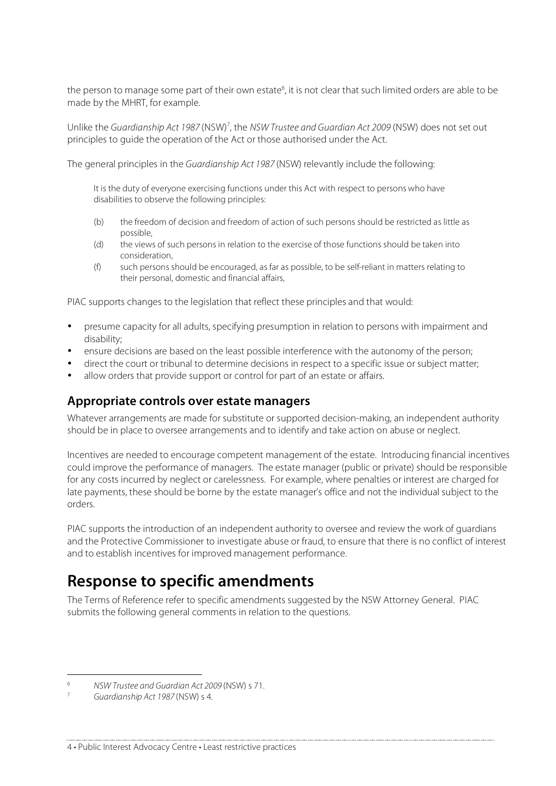the person to manage some part of their own estate<sup>6</sup>, it is not clear that such limited orders are able to be made by the MHRT, for example.

Unlike the Guardianship Act 1987 (NSW)<sup>7</sup>, the NSW Trustee and Guardian Act 2009 (NSW) does not set out principles to guide the operation of the Act or those authorised under the Act.

The general principles in the Guardianship Act 1987 (NSW) relevantly include the following:

It is the duty of everyone exercising functions under this Act with respect to persons who have disabilities to observe the following principles:

- (b) the freedom of decision and freedom of action of such persons should be restricted as little as possible,
- (d) the views of such persons in relation to the exercise of those functions should be taken into consideration,
- (f) such persons should be encouraged, as far as possible, to be self-reliant in matters relating to their personal, domestic and financial affairs,

PIAC supports changes to the legislation that reflect these principles and that would:

- presume capacity for all adults, specifying presumption in relation to persons with impairment and disability;
- ensure decisions are based on the least possible interference with the autonomy of the person;
- direct the court or tribunal to determine decisions in respect to a specific issue or subject matter;
- allow orders that provide support or control for part of an estate or affairs.

### **Appropriate controls over estate managers**

Whatever arrangements are made for substitute or supported decision-making, an independent authority should be in place to oversee arrangements and to identify and take action on abuse or neglect.

Incentives are needed to encourage competent management of the estate. Introducing financial incentives could improve the performance of managers. The estate manager (public or private) should be responsible for any costs incurred by neglect or carelessness. For example, where penalties or interest are charged for late payments, these should be borne by the estate manager's office and not the individual subject to the orders.

PIAC supports the introduction of an independent authority to oversee and review the work of guardians and the Protective Commissioner to investigate abuse or fraud, to ensure that there is no conflict of interest and to establish incentives for improved management performance.

## **Response to specific amendments**

The Terms of Reference refer to specific amendments suggested by the NSW Attorney General. PIAC submits the following general comments in relation to the questions.

 <sup>6</sup> NSW Trustee and Guardian Act 2009 (NSW) s 71.

<sup>7</sup> Guardianship Act 1987 (NSW) s 4.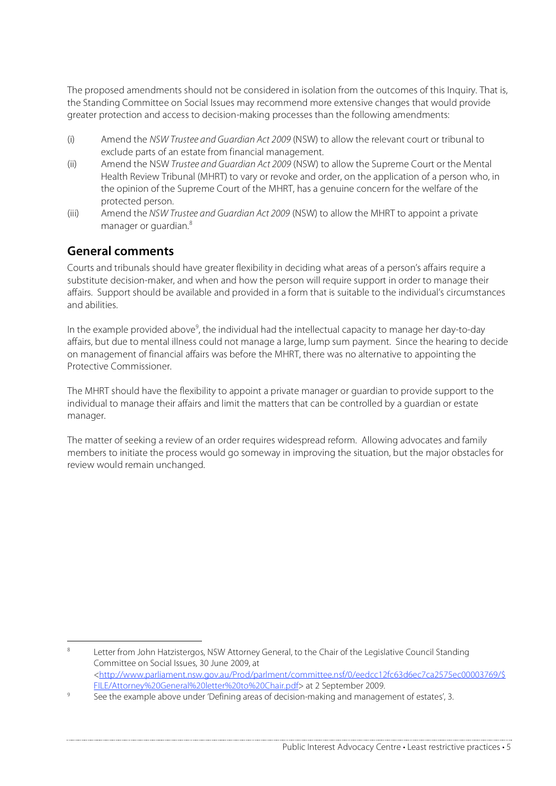The proposed amendments should not be considered in isolation from the outcomes of this Inquiry. That is, the Standing Committee on Social Issues may recommend more extensive changes that would provide greater protection and access to decision-making processes than the following amendments:

- (i) Amend the NSW Trustee and Guardian Act 2009 (NSW) to allow the relevant court or tribunal to exclude parts of an estate from financial management.
- (ii) Amend the NSW Trustee and Guardian Act 2009 (NSW) to allow the Supreme Court or the Mental Health Review Tribunal (MHRT) to vary or revoke and order, on the application of a person who, in the opinion of the Supreme Court of the MHRT, has a genuine concern for the welfare of the protected person.
- (iii) Amend the NSW Trustee and Guardian Act 2009 (NSW) to allow the MHRT to appoint a private manager or guardian.<sup>8</sup>

## **General comments**

Courts and tribunals should have greater flexibility in deciding what areas of a person's affairs require a substitute decision-maker, and when and how the person will require support in order to manage their affairs. Support should be available and provided in a form that is suitable to the individual's circumstances and abilities.

In the example provided above<sup>9</sup>, the individual had the intellectual capacity to manage her day-to-day affairs, but due to mental illness could not manage a large, lump sum payment. Since the hearing to decide on management of financial affairs was before the MHRT, there was no alternative to appointing the Protective Commissioner.

The MHRT should have the flexibility to appoint a private manager or guardian to provide support to the individual to manage their affairs and limit the matters that can be controlled by a guardian or estate manager.

The matter of seeking a review of an order requires widespread reform. Allowing advocates and family members to initiate the process would go someway in improving the situation, but the major obstacles for review would remain unchanged.

Letter from John Hatzistergos, NSW Attorney General, to the Chair of the Legislative Council Standing Committee on Social Issues, 30 June 2009, at <http://www.parliament.nsw.gov.au/Prod/parlment/committee.nsf/0/eedcc12fc63d6ec7ca2575ec00003769/\$ FILE/Attorney%20General%20letter%20to%20Chair.pdf> at 2 September 2009.

See the example above under 'Defining areas of decision-making and management of estates', 3.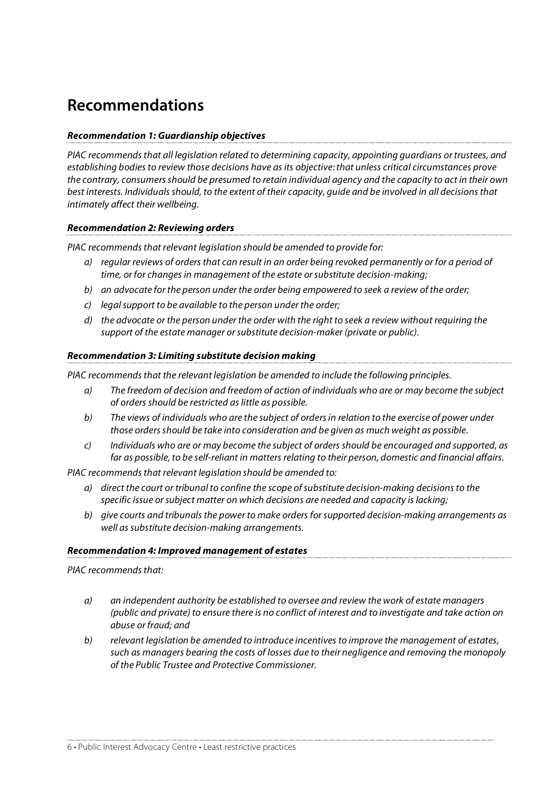# **Recommendations**

### **Recommendation 1: Guardianship objectives**

PIAC recommends that all legislation related to determining capacity, appointing guardians or trustees, and establishing bodies to review those decisions have as its objective:that unless critical circumstances prove the contrary, consumers should be presumed to retain individual agency and the capacity to act in their own best interests. Individuals should, to the extent of their capacity, guide and be involved in all decisions that intimately affect their wellbeing.

### **Recommendation 2: Reviewing orders**

PIAC recommends that relevant legislation should be amended to provide for:

- a) regular reviews of orders that can result in an order being revoked permanently or for a period of time, or for changes in management of the estate or substitute decision-making;
- b) an advocate for the person under the order being empowered to seek a review of the order;
- c) legal support to be available to the person under the order;
- d) the advocate or the person under the order with the right to seek a review without requiring the support of the estate manager or substitute decision-maker (private or public).

### **Recommendation 3: Limiting substitute decision making**

PIAC recommends that the relevant legislation be amended to include the following principles.

- a) The freedom of decision and freedom of action of individuals who are or may become the subject of orders should be restricted as little as possible.
- b) The views of individuals who are the subject of orders in relation to the exercise of power under those orders should be take into consideration and be given as much weight as possible.
- c) Individuals who are or may become the subject of orders should be encouraged and supported, as far as possible, to be self-reliant in matters relating to their person, domestic and financial affairs.

PIAC recommends that relevant legislation should be amended to:

- a) direct the court or tribunal to confine the scope of substitute decision-making decisions to the specific issue or subject matter on which decisions are needed and capacity is lacking;
- b) give courts and tribunals the power to make orders for supported decision-making arrangements as well as substitute decision-making arrangements.

### **Recommendation 4: Improved management of estates**

PIAC recommends that:

- a) an independent authority be established to oversee and review the work of estate managers (public and private) to ensure there is no conflict of interest and to investigate and take action on abuse or fraud; and
- b) relevant legislation be amended to introduce incentives to improve the management of estates, such as managers bearing the costs of losses due to their negligence and removing the monopoly of the Public Trustee and Protective Commissioner.

6 • Public Interest Advocacy Centre • Least restrictive practices